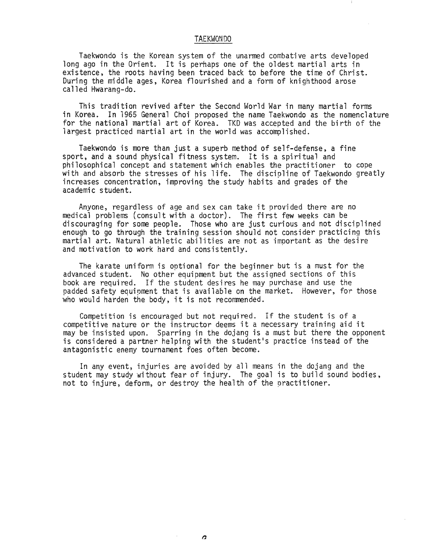#### TAEKWONDO

Taekwondo is the Korean system of the unarmed combative arts developed long ago in the Orient. It is perhaps one of the oldest martial arts in existence, the roots having been traced back to before the time of Christ. During the middle ages, Korea flourished and a form of knighthood arose called Hwarang-do.

This tradition revived after the Second World War in many martial forms in Korea. In 1965 General Choi proposed the name Taekwondo as the nomenclature for the national martial art of Korea. TKO was accepted and the birth of the largest practiced martial art in the world was accomplished.

Taekwondo is more than just a superb method of self-defense, a fine sport, and a sound physical fitness system. It is a spiritual and philosophical concept and statement which enables the practitioner to cope with and absorb the stresses of his life. The discioline of Taekwondo greatly increases concentration, improving the study habits and grades of the academic student.

Anyone, regardless of age and sex can take it provided there are no medical problems (consult with a doctor). The first few weeks can be discouraging for some people. Those who are just curious and not disciplined enough to go through the training session should not consider practicing this martial art. Natural athletic abilities are not as imoortant as the desire and motivation to work hard and consistently. .

The karate uniform is optional for the beginner but is a must for the advanced student. No other equipment but the assigned sections of this book are required. If the student desires he may purchase and use the padded safety equipment that is available on the market. However, for those who would harden the body, it is not recommended.

Competition is encouraged but not required. If the student is of a competitive nature or the instructor deems it a necessary training aid it may be insisted upon. Sparring in the dojang is a must but there the opponent is considered a partner helping with the student's practice instead of the antagonistic enemy tournament foes often become.

In any event, injuries are avoided by all means in the dojang and the student may study without fear of injury. The goal is to build sound bodies, not to injure, deform, or destroy the health of the practitioner.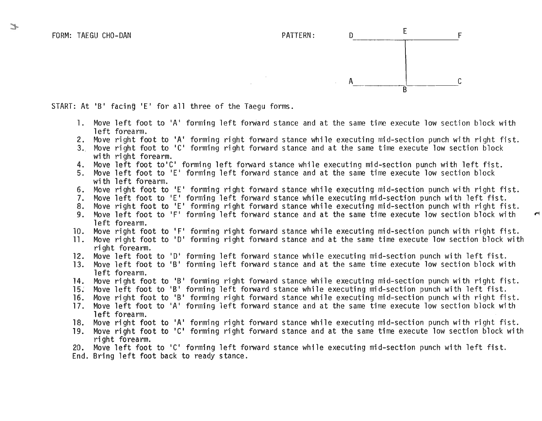

START: At 'B' facing 'E' for all three of the Taegu forms.

- 1. Move left foot to 'A' forming left forWard stance and at the same time execute low section block with left forearm.
- 2. Move right foot to 'A' forming right forward stance while executing mid-section punch with right fist.
- 3.. Move right foot to 'C' forming right forward stance and at the same time execute low section block with right forearm.
- 4. Move left foot to'C' forming left forward stance while executing mid-section punch with left fist.<br>5. Move left foot to 'E' forming left forward stance and at the same time execute low section block
- Move left foot to 'E' forming left forward stance and at the same time execute low section block with left forearm.
- 6. Move right foot to 'E' forming right forward stance while executing mid-section punch with right fist.
- 7. Move left foot to 'E' forming left forward stance while executing mid-section punch with left fist.
- 8. Move right foot to 'E' forming right forward stance while executing mid-section punch with right fist.<br>9. Move left foot to 'F' forming left forward stance and at the same time execute low section block with
- Move left foot to 'F' forming left forward stance and at the same time execute low section block with left forearm.
- 10. Move right foot to IF' forming right forward stance while executing mid-section punch with right fist.
- 11. Move right foot to 'D' forming right forward stance and at the same time execute low section block with ri ght forearm.
- 12. Move left foot to '0' forming left forward stance while executing mid-section punch with left fist.
- 13. Move left foot to 'B' forming left forward stance and at the same time execute low section block with left forearm.
- 14. Move right foot to 'B' forming right forward stance wbi1e executing mid-section punch with right fist.
- 15: Move left foot to 'B' forming left forward stance while executing mid-section punch with left fist.
- 16. Move right foot to 'B' forming right forward stance while executing mid-section punch with right fist.
- 17. Move left foot to 'A' forming left forward stance and at the same time execute low section block with 1eft forearm.
- l8. Move right foot to lA' forming right forward stance while executing mid-section punch with right fist.
- 19. Move right foot to 'CI forming right forward stance and at the same time execute low section block with ri ght forearm.
- 20. Move left foot to 'C' forming left forward stance while executing mid-section punch with left fist.

End. Bring left foot back to ready stance.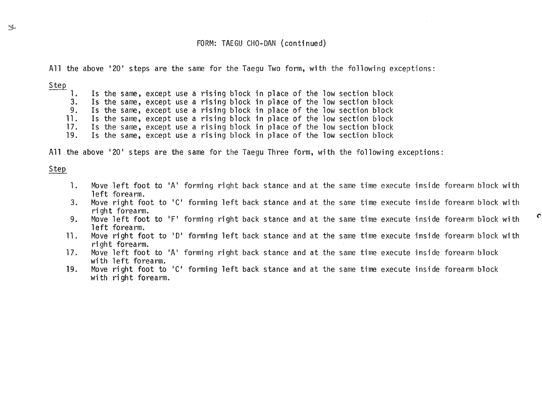## FORM: TAEGU CHO-DAN (continued)

All the above '20' steps are the same for the Taegu Two form, with the following exceptions:

Step

1. Is the same, except use a rising block in place of the low section block<br>3. Is the same, except use a rising block in place of the low section block

- Is the same, except use a rising block in place of the low section block
- 9. Is the same, except use a rising block in place of the low section block
- 11. Is the same, except use a rising block in place of the low section block<br>17. Is the same, except use a rising block in place of the low section block
- 17. Is the same, except use a rising block in place of the low section block<br>19. Is the same, except use a rising block in place of the low section block Is the same, except use a rising block in place of the low section block

All the above 120' steps are the same for the Taegu Three form, with the following exceptions:

## Step

- 1. Move left foot to 'A' forming right back stance and at the same time execute inside forearm block with left forearm.
- 3. Move right foot to 'C' forming left back stance and at the same time execute inside forearm block with ri ght forearm.
- 9. Move left foot to 'F' forming right back stance and at the same time execute inside forearm block with  $\sigma$ left forearm.
- 1l. Move right foot to ID' forming left back stance and at the same time execute inside forearm block with ri ght forearm.
- 17. Move left foot to 'A' forming right back stance and at the same time execute inside forearm block with left forearm.
- 19. Move right foot to 'c' forming left back stance and at the same time execute inside forearm block with right forearm.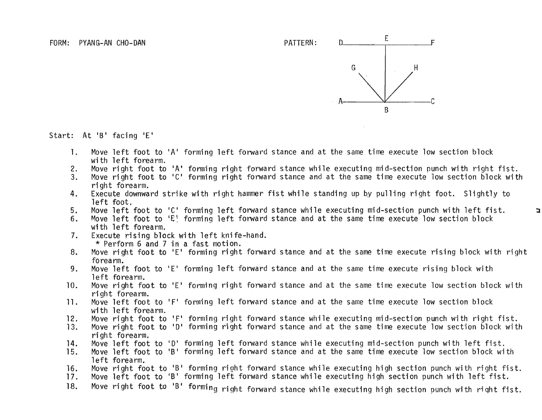

 $\Box$ 

Start: At 'B' facing 'E'

- 1. Move left foot to 'A' forming left forward stance and at the same time execute low section block with left forearm.
- 2. Move right foot to 'A' forming right forward stance while executing mid-section punch with right fist.
- 3. Move right foot to 'C' forming right forward stance and at the same time execute low section block with ri ght forearm.
- 4. Execute downward strike with right hammer fist while standing up by pulling right foot. Slightly to left foot.
- 5. Move left foot to 'C' forming left forward stance while executing mid-section punch with left fist.
- 6. Move left foot to 'E' forming left forward stance and at the same time execute low section block with left forearm.
- 7. Execute rising block with left knife-hand.<br>\* Perform 6 and 7 in a fast motion.
- 8. Move right foot to 'E' forming right forward stance and at the same time execute rising block with right forearm.
- 9. Move left foot to 'E' forming left forward stance and at the same time execute rising block with left forearm.
- 10. Move right foot to 'E' forming right forward stance and at the same time execute low section block with ri ght forearm.
- 11. Move left foot to 'F' forming left forward stance and at the same time execute low section block with left forearm.
- 12. Move right foot to 'F' forming right forward stance while executing mid-section punch with right fist.<br>13. Move right foot to 'D' forming right forward stance and at the same time execute low section block with
- Move right foot to 'D' forming right forward stance and at the same time execute low section block with ri ght forearm.
- 14. Move left foot to 10' forming left forward stance while executing mid-section punch with left fist.
- 15. Move left foot to 'B' forming left forward stance and at the same time execute low section block with left forearm.
- 16. Move right foot to IB' forming right forward stance while executing high section punch with right fist.
- 17. Move left foot to 'B' forming left forward stance while executing high section punch with left fist.
- 18. Move right foot to 'B' forming right forward stance while executing high section punch with right fist.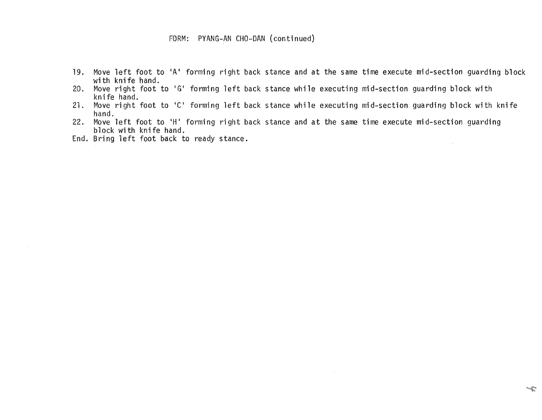# FORM: PVANG-AN CHO-OAN (continued)

- 19. Move left foot to 'A' forming right back stance and at the same time execute mid-section guarding block with knife hand.
- 20. Move right foot to 'G' forming left back stance while executing mid-section guarding block with knife hand.
- 21. Move right foot to 'C' forming left back stance while executing mid-section guarding block with knife hand.
- 22. Move left foot to 'H' forming right back stance and at the same time execute mid-section guarding block with knife hand.
- End. Bring left foot back to ready stance.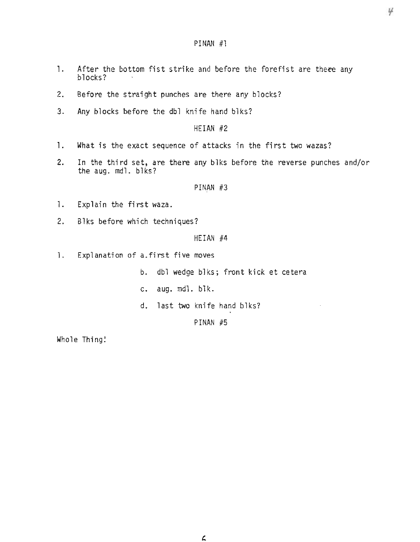## PINAN #1

- 1. After the bottom fist strike and before the forefist are there any blocks?
- 2. Before the straight punches are there any blocks?
- 3. Any blocks before the db1 knife hand b1ks?

HEIAN #2

- 1. What is the exact sequence of attacks in the first two wazas?
- 2. In the third set, are there any b1ks before the reverse punches and/or the aug. md1. b1ks?

PINAN  $#3$ 

- 1. Explain the first waza.
- 2. Blks before which techniques?

HEIAN #4

1. Explanation of a.first five moves

b. dbl wedge b1ks; front kick et cetera

 $\ddot{\phantom{a}}$ 

- c. aug. mdl. blk.
- d. last two knife hand b1ks?

PINAN #5

Whole Thing!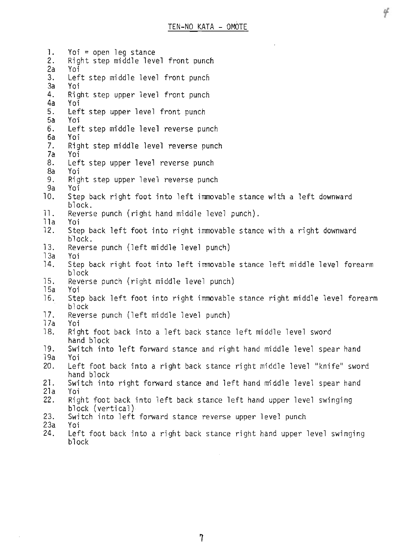Ч

1. Yoi = open leg stance<br>2. Right step middle leve Right step middle level front punch 2a Yoi 3. Left step middle level front punch<br>3a Yoi 3a Yoi 4. Right step upper level front punch 4a Yoi 5. Left step upper level front punch 5a Yoi 6. Left step middle level reverse punch 6a Yoi 7. Right step middle level reverse punch 7a Yoi 8. Left step upper level reverse punch 8a Yoi 9. Right step upper level reverse punch<br>9a Yoi Yoi. 10. Step back right foot into left immovable stance with a left downward block. 11. Reverse punch (right hand middle level punch). lla Yoi<br>l2. Ster Step back left foot into right immovable stance with a right downward hlock. 13. Reverse punch (left middle level punch) 13a Yoi 14. Step back right foot into left immovable stance left middle level forearm block 15. Reverse punch (right middle level punch) 15a Yoi 16. Step back left foot into right immovable stance right middle level forearm block 17. Reverse punch (left middle level punch) 17a Yoi 18. Right foot back into a left back stance left middle level sword hand block 19. Switch into left forward stance and right hand middle level spear hand 19a Yoi 20. Left foot back into a right back stance right middle level "knife" sword hand block 21. Switch into right forward stance and left hand middle level spear hand 21a Yoi 22. Right foot back into left back stance left hand upper level swinging<br>block (vertical)<br>23. Switch into left forward stance reverse upper level punch 23. Switch into left forward stance reverse upper level punch<br>23a 9 Yoi<br>24. Left foot back into a right back stance right hand upper

7

Left foot back into a right back stance right hand upper level swinging block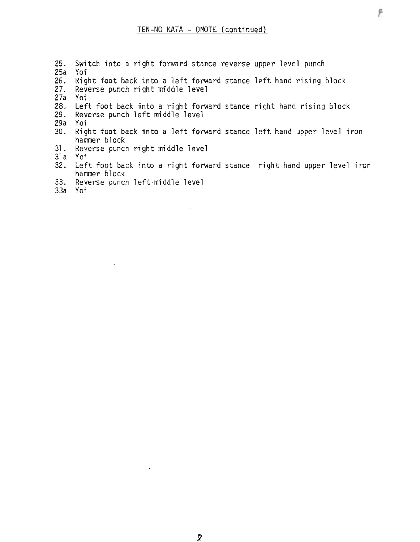- 25. Switch into a right forward stance reverse upper level punch
- 25a Yoi
- 26. Right foot back into a left forward stance left hand rising block<br>27. Reverse punch right middle level
- Reverse punch right middle level
- 27a Yoi
- 28. Left foot back into a right forward stance right hand rising block
- Reverse punch left middle level
- 29a Yoi
- 30. Right foot back into a left forward stance left hand upper level iron hammer block
- 31. Reverse punch right middle level

31a Yoi

- 32. Left foot back into a right forward stance right hand upper level iron hammer block
- 33. Reverse punch left-middle level
- 33a Yoi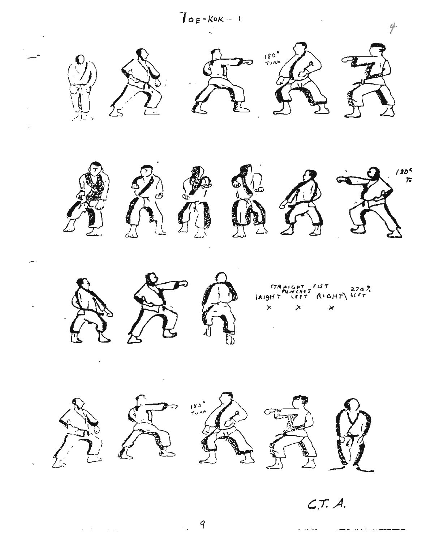

 $\mathbf{x}=(\mathbf{x}^1,\ldots,\mathbf{x}^d)$  , where  $\mathbf{x}$ 

9

 $\mathcal{A}_\infty$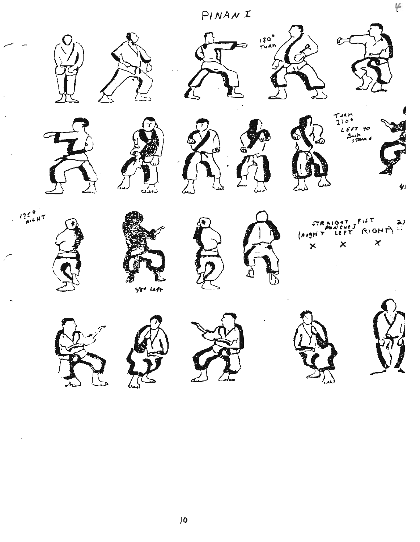PINANI



 $|0\rangle$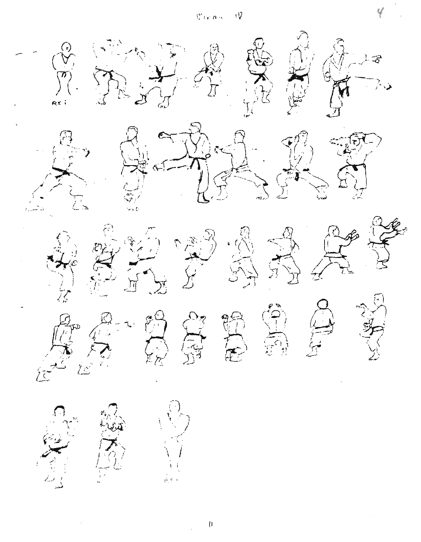$\overline{v}$  $\mathcal{C}_{\mathcal{D}}$  or



 $\bar{\mathbf{I}}$